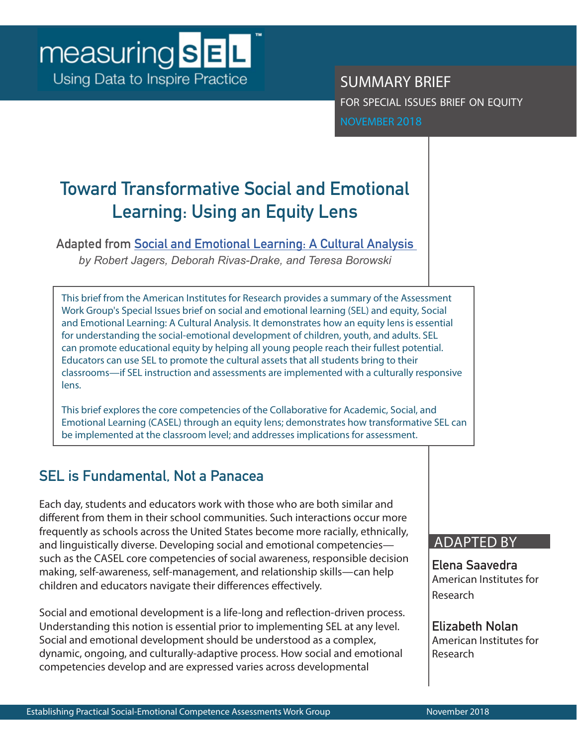SUMMARY BRIEF for special issues brief on equity NOVEMBER 2018

# **Toward Transformative Social and Emotional Learning: Using an Equity Lens**

**Adapted from [Social and Emotional Learning: A Cultural Analysis](https://measuringsel.casel.org/wp-content/uploads/2018/11/Frameworks-Equity.pdf)** 

*by Robert Jagers, Deborah Rivas-Drake, and Teresa Borowski*

This brief from the American Institutes for Research provides a summary of the Assessment Work Group's Special Issues brief on social and emotional learning (SEL) and equity, Social and Emotional Learning: A Cultural Analysis. It demonstrates how an equity lens is essential for understanding the social-emotional development of children, youth, and adults. SEL can promote educational equity by helping all young people reach their fullest potential. Educators can use SEL to promote the cultural assets that all students bring to their classrooms—if SEL instruction and assessments are implemented with a culturally responsive lens.

This brief explores the core competencies of the Collaborative for Academic, Social, and Emotional Learning (CASEL) through an equity lens; demonstrates how transformative SEL can be implemented at the classroom level; and addresses implications for assessment.

# **SEL is Fundamental, Not a Panacea**

Each day, students and educators work with those who are both similar and different from them in their school communities. Such interactions occur more frequently as schools across the United States become more racially, ethnically, and linguistically diverse. Developing social and emotional competencies such as the CASEL core competencies of social awareness, responsible decision making, self-awareness, self-management, and relationship skills—can help children and educators navigate their differences effectively.

Social and emotional development is a life-long and reflection-driven process. Understanding this notion is essential prior to implementing SEL at any level. Social and emotional development should be understood as a complex, dynamic, ongoing, and culturally-adaptive process. How social and emotional competencies develop and are expressed varies across developmental

## ADAPTED BY

**Elena Saavedra** American Institutes for Research

**Elizabeth Nolan** American Institutes for Research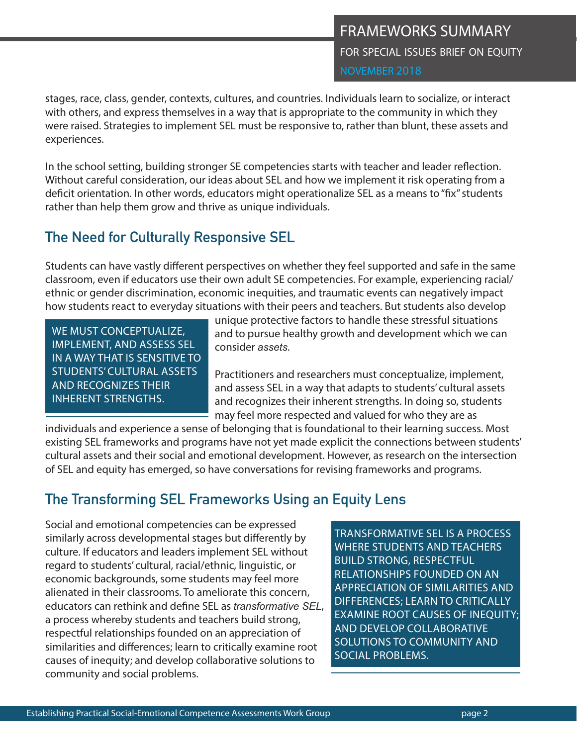stages, race, class, gender, contexts, cultures, and countries. Individuals learn to socialize, or interact with others, and express themselves in a way that is appropriate to the community in which they were raised. Strategies to implement SEL must be responsive to, rather than blunt, these assets and experiences.

In the school setting, building stronger SE competencies starts with teacher and leader reflection. Without careful consideration, our ideas about SEL and how we implement it risk operating from a deficit orientation. In other words, educators might operationalize SEL as a means to "fix" students rather than help them grow and thrive as unique individuals.

# **The Need for Culturally Responsive SEL**

Students can have vastly different perspectives on whether they feel supported and safe in the same classroom, even if educators use their own adult SE competencies. For example, experiencing racial/ ethnic or gender discrimination, economic inequities, and traumatic events can negatively impact how students react to everyday situations with their peers and teachers. But students also develop

WE MUST CONCEPTUALIZE, IMPLEMENT, AND ASSESS SEL IN A WAY THAT IS SENSITIVE TO STUDENTS' CULTURAL ASSETS AND RECOGNIZES THEIR INHERENT STRENGTHS.

unique protective factors to handle these stressful situations and to pursue healthy growth and development which we can consider *assets*.

Practitioners and researchers must conceptualize, implement, and assess SEL in a way that adapts to students' cultural assets and recognizes their inherent strengths. In doing so, students may feel more respected and valued for who they are as

individuals and experience a sense of belonging that is foundational to their learning success. Most existing SEL frameworks and programs have not yet made explicit the connections between students' cultural assets and their social and emotional development. However, as research on the intersection of SEL and equity has emerged, so have conversations for revising frameworks and programs.

# **The Transforming SEL Frameworks Using an Equity Lens**

Social and emotional competencies can be expressed similarly across developmental stages but differently by culture. If educators and leaders implement SEL without regard to students' cultural, racial/ethnic, linguistic, or economic backgrounds, some students may feel more alienated in their classrooms. To ameliorate this concern, educators can rethink and define SEL as *transformative SEL*, a process whereby students and teachers build strong, respectful relationships founded on an appreciation of similarities and differences; learn to critically examine root causes of inequity; and develop collaborative solutions to community and social problems.

TRANSFORMATIVE SEL IS A PROCESS WHERE STUDENTS AND TEACHERS BUILD STRONG, RESPECTFUL RELATIONSHIPS FOUNDED ON AN APPRECIATION OF SIMILARITIES AND DIFFERENCES; LEARN TO CRITICALLY EXAMINE ROOT CAUSES OF INEQUITY; AND DEVELOP COLLABORATIVE SOLUTIONS TO COMMUNITY AND SOCIAL PROBLEMS.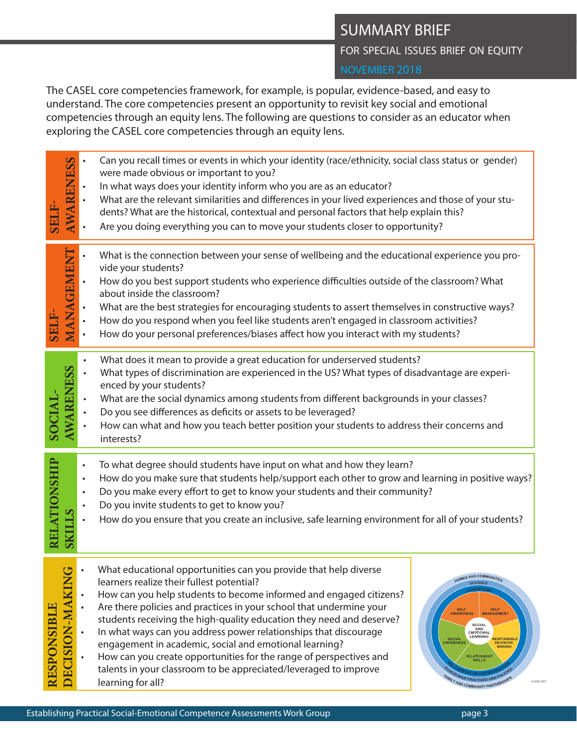# SUMMARY BRIEF

FOR SPECIAL ISSUES BRIEF ON EQUITY

The CASEL core competencies framework, for example, is popular, evidence-based, and easy to understand. The core competencies present an opportunity to revisit key social and emotional competencies through an equity lens. The following are questions to consider as an educator when exploring the CASEL core competencies through an equity lens.

| <b>SELF</b>        | <b>AWARENESS</b>                                                  | Can you recall times or events in which your identity (race/ethnicity, social class status or gender)<br>were made obvious or important to you?<br>In what ways does your identity inform who you are as an educator?<br>What are the relevant similarities and differences in your lived experiences and those of your stu-<br>dents? What are the historical, contextual and personal factors that help explain this?<br>Are you doing everything you can to move your students closer to opportunity?                                                                                                                                                                                                                                                                                                                                                                                                       |
|--------------------|-------------------------------------------------------------------|----------------------------------------------------------------------------------------------------------------------------------------------------------------------------------------------------------------------------------------------------------------------------------------------------------------------------------------------------------------------------------------------------------------------------------------------------------------------------------------------------------------------------------------------------------------------------------------------------------------------------------------------------------------------------------------------------------------------------------------------------------------------------------------------------------------------------------------------------------------------------------------------------------------|
| <b>SELF-</b>       | MANAGEMENT<br>$\bullet$                                           | What is the connection between your sense of wellbeing and the educational experience you pro-<br>vide your students?<br>How do you best support students who experience difficulties outside of the classroom? What<br>about inside the classroom?<br>What are the best strategies for encouraging students to assert themselves in constructive ways?<br>How do you respond when you feel like students aren't engaged in classroom activities?<br>How do your personal preferences/biases affect how you interact with my students?                                                                                                                                                                                                                                                                                                                                                                         |
| SOCIAL             | <b>AWARENESS</b><br>$\bullet$                                     | What does it mean to provide a great education for underserved students?<br>What types of discrimination are experienced in the US? What types of disadvantage are experi-<br>enced by your students?<br>What are the social dynamics among students from different backgrounds in your classes?<br>Do you see differences as deficits or assets to be leveraged?<br>How can what and how you teach better position your students to address their concerns and<br>interests?                                                                                                                                                                                                                                                                                                                                                                                                                                  |
| RELATIONSHIP       | $\bullet$<br>$\bullet$<br>$\bullet$<br>$\bullet$<br><b>SKILLS</b> | To what degree should students have input on what and how they learn?<br>How do you make sure that students help/support each other to grow and learning in positive ways?<br>Do you make every effort to get to know your students and their community?<br>Do you invite students to get to know you?<br>How do you ensure that you create an inclusive, safe learning environment for all of your students?                                                                                                                                                                                                                                                                                                                                                                                                                                                                                                  |
| <b>RESPONSIBLE</b> | $\mathsf{r}$<br>ECISION-MAKING                                    | What educational opportunities can you provide that help diverse<br>HOMES AND COMMUNITIES<br>learners realize their fullest potential?<br><b>SCHOOLS</b><br>How can you help students to become informed and engaged citizens?<br>Are there policies and practices in your school that undermine your<br>SELF-<br>AWARENESS<br>SELF-<br>MANAGEMENT<br>students receiving the high-quality education they need and deserve?<br>SOCIAL<br>AND<br>EMOTIONAL<br>In what ways can you address power relationships that discourage<br>LEARNING<br>SOCIAL<br>AWARENESS<br>RESPONSIBLE<br>engagement in academic, social and emotional learning?<br><b>DECISION-</b><br><b>MAKING</b><br>How can you create opportunities for the range of perspectives and<br><b>RELATIONSHIP</b><br>talents in your classroom to be appreciated/leveraged to improve<br><b>FAMILY AND COMMUNITY PARTNERSHIP</b><br>learning for all? |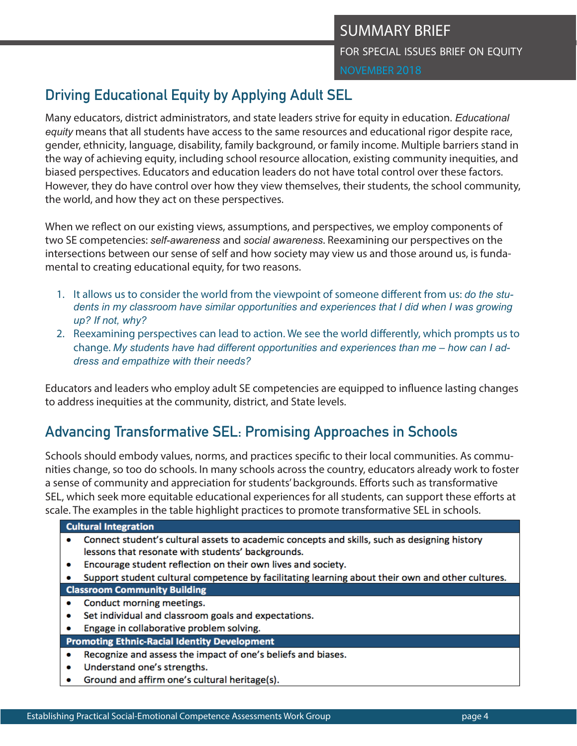# **Driving Educational Equity by Applying Adult SEL**

Many educators, district administrators, and state leaders strive for equity in education. *Educational equity* means that all students have access to the same resources and educational rigor despite race, gender, ethnicity, language, disability, family background, or family income. Multiple barriers stand in the way of achieving equity, including school resource allocation, existing community inequities, and biased perspectives. Educators and education leaders do not have total control over these factors. However, they do have control over how they view themselves, their students, the school community, the world, and how they act on these perspectives.

When we reflect on our existing views, assumptions, and perspectives, we employ components of two SE competencies: *self-awareness* and *social awareness*. Reexamining our perspectives on the intersections between our sense of self and how society may view us and those around us, is fundamental to creating educational equity, for two reasons.

- 1. It allows us to consider the world from the viewpoint of someone different from us: *do the students in my classroom have similar opportunities and experiences that I did when I was growing up? If not, why?*
- 2. Reexamining perspectives can lead to action. We see the world differently, which prompts us to change. *My students have had different opportunities and experiences than me – how can I address and empathize with their needs?*

Educators and leaders who employ adult SE competencies are equipped to influence lasting changes to address inequities at the community, district, and State levels.

# **Advancing Transformative SEL: Promising Approaches in Schools**

Schools should embody values, norms, and practices specific to their local communities. As communities change, so too do schools. In many schools across the country, educators already work to foster a sense of community and appreciation for students' backgrounds. Efforts such as transformative SEL, which seek more equitable educational experiences for all students, can support these efforts at scale. The examples in the table highlight practices to promote transformative SEL in schools.

| <b>Cultural Integration</b>                         |                                                                                                  |  |  |
|-----------------------------------------------------|--------------------------------------------------------------------------------------------------|--|--|
|                                                     | Connect student's cultural assets to academic concepts and skills, such as designing history     |  |  |
|                                                     | lessons that resonate with students' backgrounds.                                                |  |  |
| ٠                                                   | Encourage student reflection on their own lives and society.                                     |  |  |
|                                                     | Support student cultural competence by facilitating learning about their own and other cultures. |  |  |
| <b>Classroom Community Building</b>                 |                                                                                                  |  |  |
|                                                     | Conduct morning meetings.                                                                        |  |  |
| ٠                                                   | Set individual and classroom goals and expectations.                                             |  |  |
| ٠                                                   | Engage in collaborative problem solving.                                                         |  |  |
| <b>Promoting Ethnic-Racial Identity Development</b> |                                                                                                  |  |  |
| ٠                                                   | Recognize and assess the impact of one's beliefs and biases.                                     |  |  |
|                                                     | <b>Understand one's strengths</b>                                                                |  |  |

- 
- Ground and affirm one's cultural heritage(s).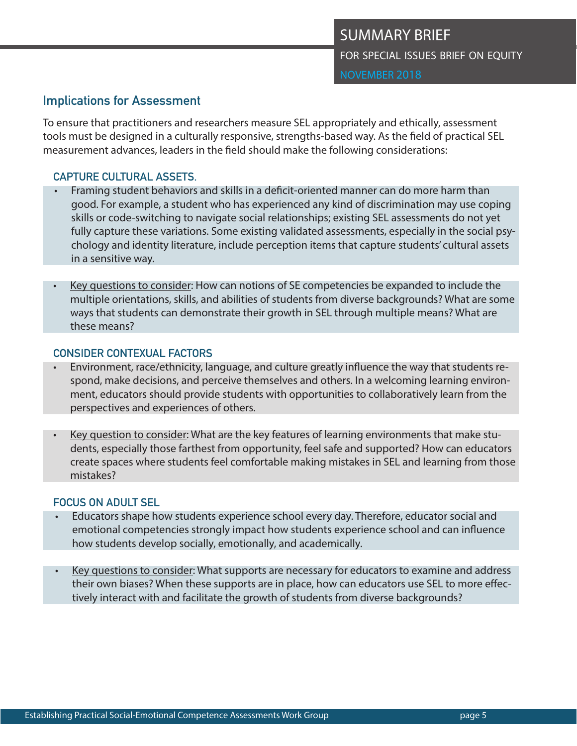## **Implications for Assessment**

To ensure that practitioners and researchers measure SEL appropriately and ethically, assessment tools must be designed in a culturally responsive, strengths-based way. As the field of practical SEL measurement advances, leaders in the field should make the following considerations:

## **CAPTURE CULTURAL ASSETS.**

- Framing student behaviors and skills in a deficit-oriented manner can do more harm than good. For example, a student who has experienced any kind of discrimination may use coping skills or code-switching to navigate social relationships; existing SEL assessments do not yet fully capture these variations. Some existing validated assessments, especially in the social psychology and identity literature, include perception items that capture students' cultural assets in a sensitive way.
- Key questions to consider: How can notions of SE competencies be expanded to include the multiple orientations, skills, and abilities of students from diverse backgrounds? What are some ways that students can demonstrate their growth in SEL through multiple means? What are these means?

### **CONSIDER CONTEXUAL FACTORS**

- Environment, race/ethnicity, language, and culture greatly influence the way that students respond, make decisions, and perceive themselves and others. In a welcoming learning environment, educators should provide students with opportunities to collaboratively learn from the perspectives and experiences of others.
- Key question to consider: What are the key features of learning environments that make students, especially those farthest from opportunity, feel safe and supported? How can educators create spaces where students feel comfortable making mistakes in SEL and learning from those mistakes?

### **FOCUS ON ADULT SEL**

- Educators shape how students experience school every day. Therefore, educator social and emotional competencies strongly impact how students experience school and can influence how students develop socially, emotionally, and academically.
- Key questions to consider: What supports are necessary for educators to examine and address their own biases? When these supports are in place, how can educators use SEL to more effectively interact with and facilitate the growth of students from diverse backgrounds?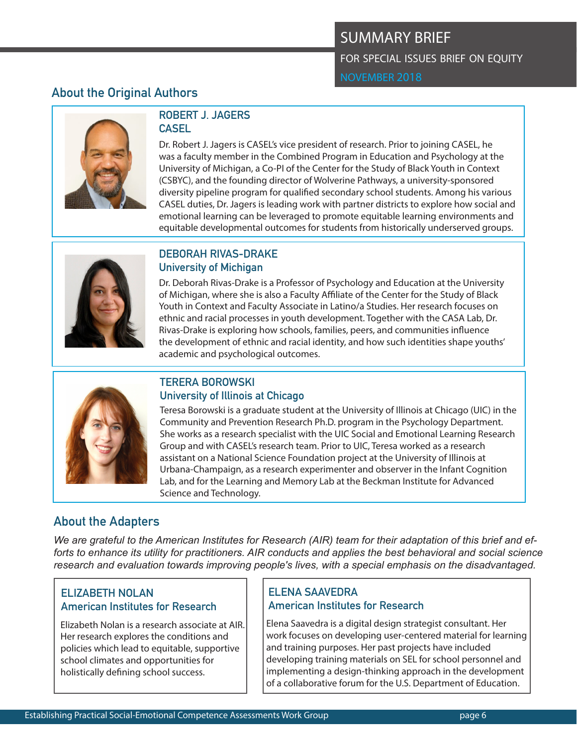# **About the Original Authors**



## **ROBERT J. JAGERS CASEL**

Dr. Robert J. Jagers is CASEL's vice president of research. Prior to joining CASEL, he was a faculty member in the Combined Program in Education and Psychology at the University of Michigan, a Co-PI of the Center for the Study of Black Youth in Context (CSBYC), and the founding director of Wolverine Pathways, a university-sponsored diversity pipeline program for qualified secondary school students. Among his various CASEL duties, Dr. Jagers is leading work with partner districts to explore how social and emotional learning can be leveraged to promote equitable learning environments and equitable developmental outcomes for students from historically underserved groups.



### **DEBORAH RIVAS-DRAKE University of Michigan**

Dr. Deborah Rivas-Drake is a Professor of Psychology and Education at the University of Michigan, where she is also a Faculty Affiliate of the Center for the Study of Black Youth in Context and Faculty Associate in Latino/a Studies. Her research focuses on ethnic and racial processes in youth development. Together with the CASA Lab, Dr. Rivas-Drake is exploring how schools, families, peers, and communities influence the development of ethnic and racial identity, and how such identities shape youths' academic and psychological outcomes.



## **TERERA BOROWSKI University of Illinois at Chicago**

Teresa Borowski is a graduate student at the University of Illinois at Chicago (UIC) in the Community and Prevention Research Ph.D. program in the Psychology Department. She works as a research specialist with the UIC Social and Emotional Learning Research Group and with CASEL's research team. Prior to UIC, Teresa worked as a research assistant on a National Science Foundation project at the University of Illinois at Urbana-Champaign, as a research experimenter and observer in the Infant Cognition Lab, and for the Learning and Memory Lab at the Beckman Institute for Advanced Science and Technology.

# **About the Adapters**

*We are grateful to the American Institutes for Research (AIR) team for their adaptation of this brief and efforts to enhance its utility for practitioners. AIR conducts and applies the best behavioral and social science research and evaluation towards improving people's lives, with a special emphasis on the disadvantaged.*

## **ELIZABETH NOLAN American Institutes for Research**

Elizabeth Nolan is a research associate at AIR. Her research explores the conditions and policies which lead to equitable, supportive school climates and opportunities for holistically defining school success.

## **ELENA SAAVEDRA American Institutes for Research**

Elena Saavedra is a digital design strategist consultant. Her work focuses on developing user-centered material for learning and training purposes. Her past projects have included developing training materials on SEL for school personnel and implementing a design-thinking approach in the development of a collaborative forum for the U.S. Department of Education.